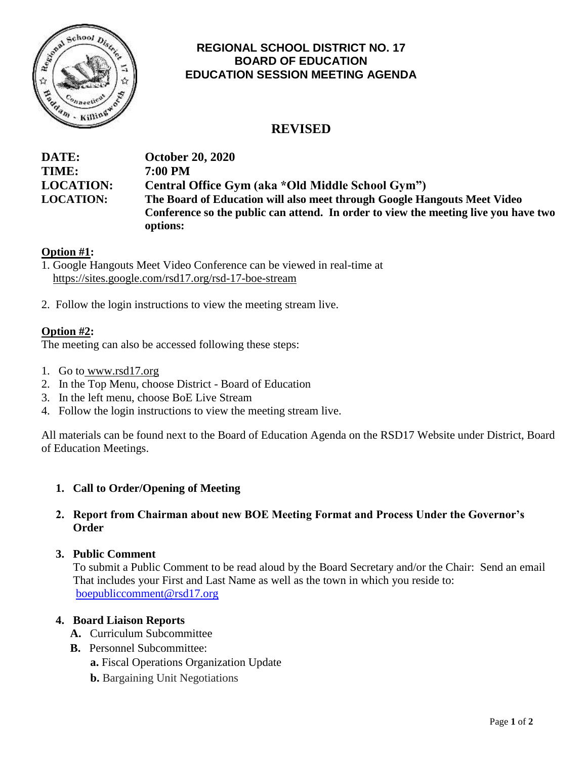

# **REGIONAL SCHOOL DISTRICT NO. 17 BOARD OF EDUCATION EDUCATION SESSION MEETING AGENDA**

# **REVISED**

| DATE:            | <b>October 20, 2020</b>                                                             |
|------------------|-------------------------------------------------------------------------------------|
| <b>TIME:</b>     | 7:00 PM                                                                             |
| <b>LOCATION:</b> | Central Office Gym (aka *Old Middle School Gym")                                    |
| <b>LOCATION:</b> | The Board of Education will also meet through Google Hangouts Meet Video            |
|                  | Conference so the public can attend. In order to view the meeting live you have two |
|                  | options:                                                                            |

# **Option #1:**

1. Google Hangouts Meet Video Conference can be viewed in real-time at <https://sites.google.com/rsd17.org/rsd-17-boe-stream>

2. Follow the login instructions to view the meeting stream live.

### **Option #2:**

The meeting can also be accessed following these steps:

- 1. Go to [www.rsd17.org](http://www.rsd17.org/)
- 2. In the Top Menu, choose District Board of Education
- 3. In the left menu, choose BoE Live Stream
- 4. Follow the login instructions to view the meeting stream live.

All materials can be found next to the Board of Education Agenda on the RSD17 Website under District, Board of Education Meetings.

# **1. Call to Order/Opening of Meeting**

### **2. Report from Chairman about new BOE Meeting Format and Process Under the Governor's Order**

#### **3. Public Comment**

 To submit a Public Comment to be read aloud by the Board Secretary and/or the Chair: Send an email That includes your First and Last Name as well as the town in which you reside to: [boepubliccomment@rsd17.org](mailto:boepubliccomment@rsd17.org)

#### **4. Board Liaison Reports**

- **A.** Curriculum Subcommittee
- **B.** Personnel Subcommittee:
	- **a.** Fiscal Operations Organization Update
	- **b.** Bargaining Unit Negotiations